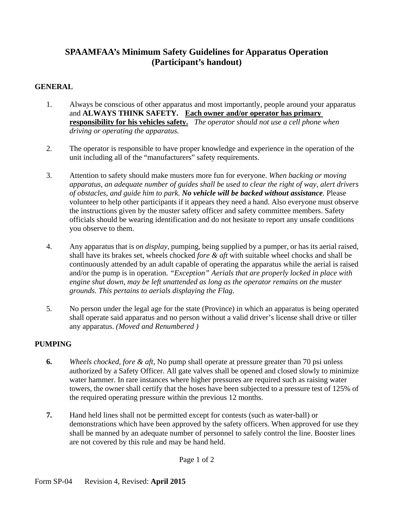## **SPAAMFAA's Minimum Safety Guidelines for Apparatus Operation (Participant's handout)**

## **GENERAL**

- 1. Always be conscious of other apparatus and most importantly, people around your apparatus and **ALWAYS THINK SAFETY. Each owner and/or operator has primary responsibility for his vehicles safety.** *The operator should not use a cell phone when driving or operating the apparatus.*
- 2. The operator is responsible to have proper knowledge and experience in the operation of the unit including all of the "manufacturers" safety requirements.
- 3. Attention to safety should make musters more fun for everyone. *When backing or moving apparatus, an adequate number of guides shall be used to clear the right of way, alert drivers of obstacles, and guide him to park. No vehicle will be backed without assistance.* Please volunteer to help other participants if it appears they need a hand. Also everyone must observe the instructions given by the muster safety officer and safety committee members. Safety officials should be wearing identification and do not hesitate to report any unsafe conditions you observe to them.
- 4. Any apparatus that is *on display*, pumping, being supplied by a pumper, or has its aerial raised, shall have its brakes set, wheels chocked *fore & aft* with suitable wheel chocks and shall be continuously attended by an adult capable of operating the apparatus while the aerial is raised and/or the pump is in operation. *"Exception" Aerials that are properly locked in place with engine shut down, may be left unattended as long as the operator remains on the muster grounds. This pertains to aerials displaying the Flag*.
- 5. No person under the legal age for the state (Province) in which an apparatus is being operated shall operate said apparatus and no person without a valid driver's license shall drive or tiller any apparatus. *(Moved and Renumbered )*

## **PUMPING**

- **6.** *Wheels chocked, fore & aft*, No pump shall operate at pressure greater than 70 psi unless authorized by a Safety Officer. All gate valves shall be opened and closed slowly to minimize water hammer. In rare instances where higher pressures are required such as raising water towers, the owner shall certify that the hoses have been subjected to a pressure test of 125% of the required operating pressure within the previous 12 months.
- **7.** Hand held lines shall not be permitted except for contests (such as water-ball) or demonstrations which have been approved by the safety officers. When approved for use they shall be manned by an adequate number of personnel to safely control the line. Booster lines are not covered by this rule and may be hand held.

Page 1 of 2